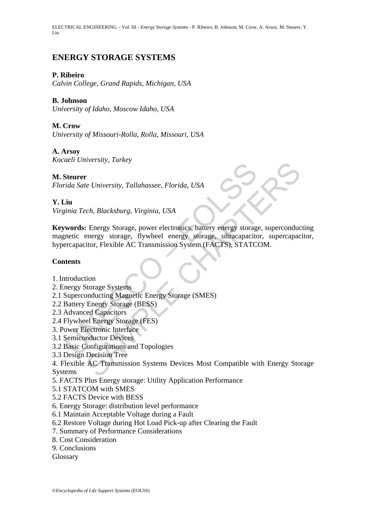# **ENERGY STORAGE SYSTEMS**

# **P. Ribeiro**

*Calvin College, Grand Rapids, Michigan, USA* 

# **B. Johnson**

*University of Idaho, Moscow Idaho, USA* 

# **M. Crow**

*University of Missouri-Rolla, Rolla, Missouri, USA* 

### **A. Arsoy**

*Kocaeli University, Turkey* 

# **M. Steurer**

*Florida Sate University, Tallahassee, Florida, USA* 

# **Y. Liu**

*Virginia Tech, Blacksburg, Virginia, USA*

Steurer<br>
Steurer<br>
Edurer<br>
Edurer<br>
Edurer University, Tallahassee, Florida, USA<br>
In<br>
Initia Tech, Blacksburg, Virginia, USA<br> **words:** Energy Storage, power electronics, battery energy storage<br>
metric energy storage, flywhee The University, Tallahassee, Florida, USA<br>
Ech, Blacksburg, Virginia, USA<br>
Sech, Blacksburg, Virginia, USA<br>
Sech, Blacksburg, Virginia, USA<br>
Sech, Blacksburg, Pilywheel energy storage, ultracapacitor, superconduction, Flex **Keywords:** Energy Storage, power electronics, battery energy storage, superconducting magnetic energy storage, flywheel energy storage, ultracapacitor, supercapacitor, hypercapacitor, Flexible AC Transmission System (FACTS), STATCOM.

### **Contents**

- 1. Introduction
- 2. Energy Storage Systems
- 2.1 Superconducting Magnetic Energy Storage (SMES)
- 2.2 Battery Energy Storage (BESS)
- 2.3 Advanced Capacitors
- 2.4 Flywheel Energy Storage (FES)
- 3. Power Electronic Interface
- 3.1 Semiconductor Devices
- 3.2 Basic Configurations and Topologies
- 3.3 Design Decision Tree
- 4. Flexible AC Transmission Systems Devices Most Compatible with Energy Storage Systems
- 5. FACTS Plus Energy storage: Utility Application Performance
- 5.1 STATCOM with SMES
- 5.2 FACTS Device with BESS
- 6. Energy Storage: distribution level performance
- 6.1 Maintain Acceptable Voltage during a Fault
- 6.2 Restore Voltage during Hot Load Pick-up after Clearing the Fault
- 7. Summary of Performance Considerations
- 8. Cost Consideration
- 9. Conclusions
- **Glossary**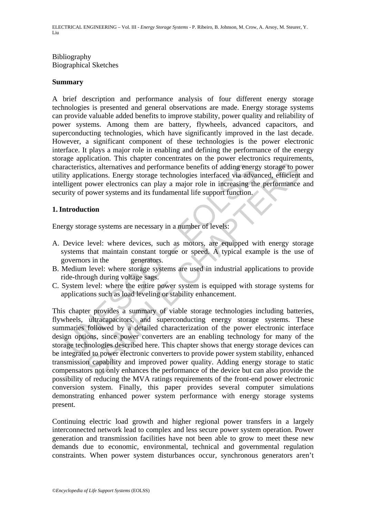Bibliography Biographical Sketches

#### **Summary**

A brief description and performance analysis of four different energy storage technologies is presented and general observations are made. Energy storage systems can provide valuable added benefits to improve stability, power quality and reliability of power systems. Among them are battery, flywheels, advanced capacitors, and superconducting technologies, which have significantly improved in the last decade. However, a significant component of these technologies is the power electronic interface. It plays a major role in enabling and defining the performance of the energy storage application. This chapter concentrates on the power electronics requirements, characteristics, alternatives and performance benefits of adding energy storage to power utility applications. Energy storage technologies interfaced via advanced, efficient and intelligent power electronics can play a major role in increasing the performance and security of power systems and its fundamental life support function.

### **1. Introduction**

Energy storage systems are necessary in a number of levels:

- A. Device level: where devices, such as motors, are equipped with energy storage systems that maintain constant torque or speed. A typical example is the use of governors in the generators.
- B. Medium level: where storage systems are used in industrial applications to provide ride-through during voltage sags.
- C. System level: where the entire power system is equipped with storage systems for applications such as load leveling or stability enhancement.

acteristics, alternatives and performance benefits of adding energ<br>ty applications. Energy storage technologies interfaced via adva<br>ligent power electronics can play a major role in increasing the<br>trivity of power systems tics, alternatives and performance benefits of adding energy storage to point these subsequents and performance benefits of adding energy storage to point continuous. Energy storage technologies interfaced via advanced, ef This chapter provides a summary of viable storage technologies including batteries, flywheels, ultracapacitors, and superconducting energy storage systems. These summaries followed by a detailed characterization of the power electronic interface design options, since power converters are an enabling technology for many of the storage technologies described here. This chapter shows that energy storage devices can be integrated to power electronic converters to provide power system stability, enhanced transmission capability and improved power quality. Adding energy storage to static compensators not only enhances the performance of the device but can also provide the possibility of reducing the MVA ratings requirements of the front-end power electronic conversion system. Finally, this paper provides several computer simulations demonstrating enhanced power system performance with energy storage systems present.

Continuing electric load growth and higher regional power transfers in a largely interconnected network lead to complex and less secure power system operation. Power generation and transmission facilities have not been able to grow to meet these new demands due to economic, environmental, technical and governmental regulation constraints. When power system disturbances occur, synchronous generators aren't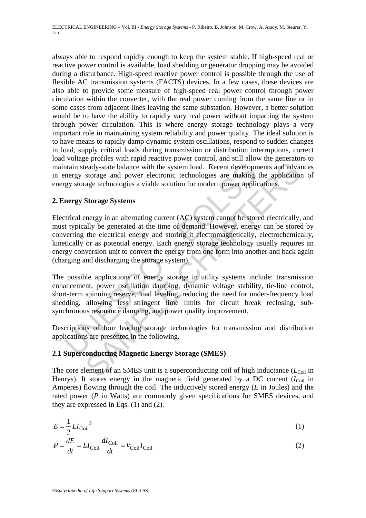always able to respond rapidly enough to keep the system stable. If high-speed real or reactive power control is available, load shedding or generator dropping may be avoided during a disturbance. High-speed reactive power control is possible through the use of flexible AC transmission systems (FACTS) devices. In a few cases, these devices are also able to provide some measure of high-speed real power control through power circulation within the converter, with the real power coming from the same line or in some cases from adjacent lines leaving the same substation. However, a better solution would be to have the ability to rapidly vary real power without impacting the system through power circulation. This is where energy storage technology plays a very important role in maintaining system reliability and power quality. The ideal solution is to have means to rapidly damp dynamic system oscillations, respond to sudden changes in load, supply critical loads during transmission or distribution interruptions, correct load voltage profiles with rapid reactive power control, and still allow the generators to maintain steady-state balance with the system load. Recent developments and advances in energy storage and power electronic technologies are making the application of energy storage technologies a viable solution for modern power applications.

# **2. Energy Storage Systems**

ntain steady-state balance with the system load. Recent developm<br>energy storage and power electronic technologies are making<br>gy storage technologies a viable solution for modern power applic<br>**nergy Storage Systems**<br>**nergy** eady-state balance with the system load. Recent developments and advartionally-state balance with the system load. Recent developments and advartionage technologies a viable solution for modern power applications.<br>Storage Electrical energy in an alternating current (AC) system cannot be stored electrically, and must typically be generated at the time of demand. However, energy can be stored by converting the electrical energy and storing it electromagnetically, electrochemically, kinetically or as potential energy. Each energy storage technology usually requires an energy conversion unit to convert the energy from one form into another and back again (charging and discharging the storage system).

The possible applications of energy storage in utility systems include: transmission enhancement, power oscillation damping, dynamic voltage stability, tie-line control, short-term spinning reserve, load leveling, reducing the need for under-frequency load shedding, allowing less stringent time limits for circuit break reclosing, subsynchronous resonance damping, and power quality improvement.

Descriptions of four leading storage technologies for transmission and distribution applications are presented in the following.

# **2.1 Superconducting Magnetic Energy Storage (SMES)**

The core element of an SMES unit is a superconducting coil of high inductance  $(L_{\text{coil}}$  in Henrys). It stores energy in the magnetic field generated by a DC current  $(I_{\text{Coil}}$  in Amperes) flowing through the coil. The inductively stored energy (*E* in Joules) and the rated power (*P* in Watts) are commonly given specifications for SMES devices, and they are expressed in Eqs. (1) and (2).

$$
E = \frac{1}{2} L I_{\text{Coil}}^2 \tag{1}
$$

$$
P = \frac{dE}{dt} = LI_{\text{Coil}} \frac{dI_{\text{Coil}}}{dt} = V_{\text{Coil}} I_{\text{Coil}} \tag{2}
$$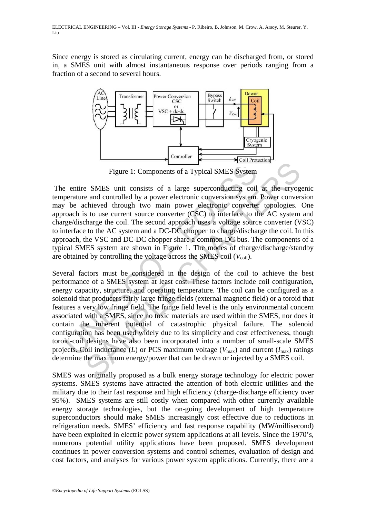Since energy is stored as circulating current, energy can be discharged from, or stored in, a SMES unit with almost instantaneous response over periods ranging from a fraction of a second to several hours.



Figure 1: Components of a Typical SMES System

 The entire SMES unit consists of a large superconducting coil at the cryogenic temperature and controlled by a power electronic conversion system. Power conversion may be achieved through two main power electronic converter topologies. One approach is to use current source converter (CSC) to interface to the AC system and charge/discharge the coil. The second approach uses a voltage source converter (VSC) to interface to the AC system and a DC-DC chopper to charge/discharge the coil. In this approach, the VSC and DC-DC chopper share a common DC bus. The components of a typical SMES system are shown in Figure 1. The modes of charge/discharge/standby are obtained by controlling the voltage across the SMES coil  $(V_{\text{coil}})$ .

Figure 1: Components of a Typical SMES System<br>
e entire SMES unit consists of a large superconducting coil<br>
be achieved through two main power electronic converted<br>
conserved through two main power electronic converted<br>
c Figure 1: Components of a Typical SMES System<br>
Examples and Controlled by a power electronic conversion system. Power convertioned through two main power electronic convertion, Dower convertions to use current source conv Several factors must be considered in the design of the coil to achieve the best performance of a SMES system at least cost. These factors include coil configuration, energy capacity, structure, and operating temperature. The coil can be configured as a solenoid that producers fairly large fringe fields (external magnetic field) or a toroid that features a very low fringe field. The fringe field level is the only environmental concern associated with a SMES, since no toxic materials are used within the SMES, nor does it contain the inherent potential of catastrophic physical failure. The solenoid configuration has been used widely due to its simplicity and cost effectiveness, though toroid-coil designs have also been incorporated into a number of small-scale SMES projects. Coil inductance  $(L)$  or PCS maximum voltage  $(V_{\text{max}})$  and current  $(I_{\text{max}})$  ratings determine the maximum energy/power that can be drawn or injected by a SMES coil.

SMES was originally proposed as a bulk energy storage technology for electric power systems. SMES systems have attracted the attention of both electric utilities and the military due to their fast response and high efficiency (charge-discharge efficiency over 95%). SMES systems are still costly when compared with other currently available energy storage technologies, but the on-going development of high temperature superconductors should make SMES increasingly cost effective due to reductions in refrigeration needs. SMES' efficiency and fast response capability (MW/millisecond) have been exploited in electric power system applications at all levels. Since the 1970's, numerous potential utility applications have been proposed. SMES development continues in power conversion systems and control schemes, evaluation of design and cost factors, and analyses for various power system applications. Currently, there are a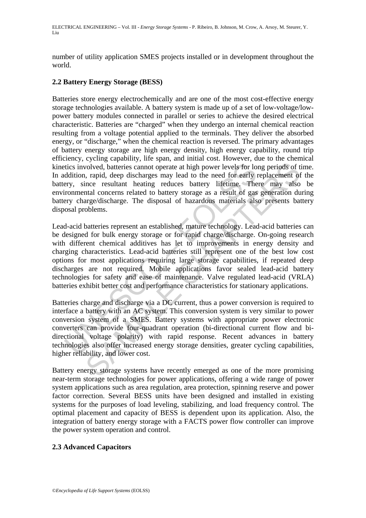number of utility application SMES projects installed or in development throughout the world.

# **2.2 Battery Energy Storage (BESS)**

Batteries store energy electrochemically and are one of the most cost-effective energy storage technologies available. A battery system is made up of a set of low-voltage/lowpower battery modules connected in parallel or series to achieve the desired electrical characteristic. Batteries are "charged" when they undergo an internal chemical reaction resulting from a voltage potential applied to the terminals. They deliver the absorbed energy, or "discharge," when the chemical reaction is reversed. The primary advantages of battery energy storage are high energy density, high energy capability, round trip efficiency, cycling capability, life span, and initial cost. However, due to the chemical kinetics involved, batteries cannot operate at high power levels for long periods of time. In addition, rapid, deep discharges may lead to the need for early replacement of the battery, since resultant heating reduces battery lifetime. There may also be environmental concerns related to battery storage as a result of gas generation during battery charge/discharge. The disposal of hazardous materials also presents battery disposal problems.

tics involved, batteries cannot operate at high power levels for loddition, rapid, deep discharges may lead to the need for early rery, since resultant heating reduces battery lifetime. The ironmental concerns related to b volved, batteries cannot operate at high power levels for long periods of top solved, batteries cannot operate at high power levels for long periods of to, rapid, deep discharges may lead to the need for early replacement Lead-acid batteries represent an established, mature technology. Lead-acid batteries can be designed for bulk energy storage or for rapid charge/discharge. On-going research with different chemical additives has let to improvements in energy density and charging characteristics. Lead-acid batteries still represent one of the best low cost options for most applications requiring large storage capabilities, if repeated deep discharges are not required. Mobile applications favor sealed lead-acid battery technologies for safety and ease of maintenance. Valve regulated lead-acid (VRLA) batteries exhibit better cost and performance characteristics for stationary applications.

Batteries charge and discharge via a DC current, thus a power conversion is required to interface a battery with an AC system. This conversion system is very similar to power conversion system of a SMES. Battery systems with appropriate power electronic converters can provide four-quadrant operation (bi-directional current flow and bidirectional voltage polarity) with rapid response. Recent advances in battery technologies also offer increased energy storage densities, greater cycling capabilities, higher reliability, and lower cost.

Battery energy storage systems have recently emerged as one of the more promising near-term storage technologies for power applications, offering a wide range of power system applications such as area regulation, area protection, spinning reserve and power factor correction. Several BESS units have been designed and installed in existing systems for the purposes of load leveling, stabilizing, and load frequency control. The optimal placement and capacity of BESS is dependent upon its application. Also, the integration of battery energy storage with a FACTS power flow controller can improve the power system operation and control.

### **2.3 Advanced Capacitors**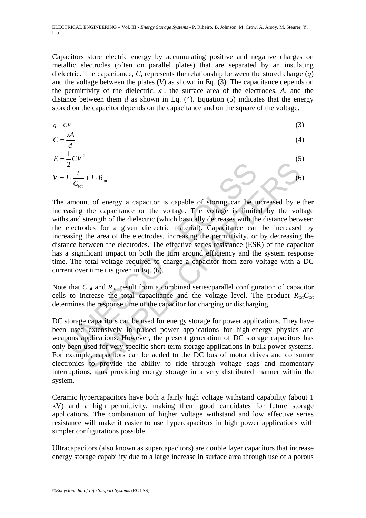Capacitors store electric energy by accumulating positive and negative charges on metallic electrodes (often on parallel plates) that are separated by an insulating dielectric. The capacitance, *C*, represents the relationship between the stored charge (*q*) and the voltage between the plates (*V*) as shown in Eq. (3). The capacitance depends on the permittivity of the dielectric,  $\varepsilon$ , the surface area of the electrodes, A, and the distance between them  $d$  as shown in Eq. (4). Equation (5) indicates that the energy stored on the capacitor depends on the capacitance and on the square of the voltage.

$$
q = CV
$$
\n
$$
C = \frac{\varepsilon A}{d}
$$
\n
$$
E = \frac{1}{2}CV^2
$$
\n
$$
V = I \cdot \frac{t}{C_{\text{tot}}} + I \cdot R_{\text{tot}}
$$
\n(5)

 $I \cdot \frac{t}{C_{tot}} + I \cdot R_{tot}$ <br>amount of energy a capacitor is capable of storing can be in<br>easing the capacitance or the voltage. The voltage is limite<br>assing the capacitance or the voltage. The voltage is limite<br>assing the area +  $I \cdot R_{tot}$ <br>
+  $I \cdot R_{tot}$ <br>
that of energy a capacitor is capable of storing can be increased by ei<br>
the capacitance or the voltage. The voltage is limited by the volt<br>
there are given dielectric (which basically decreases The amount of energy a capacitor is capable of storing can be increased by either increasing the capacitance or the voltage. The voltage is limited by the voltage withstand strength of the dielectric (which basically decreases with the distance between the electrodes for a given dielectric material). Capacitance can be increased by increasing the area of the electrodes, increasing the permittivity, or by decreasing the distance between the electrodes. The effective series resistance (ESR) of the capacitor has a significant impact on both the turn around efficiency and the system response time. The total voltage required to charge a capacitor from zero voltage with a DC current over time t is given in Eq. (6).

Note that  $C_{\text{tot}}$  and  $R_{\text{tot}}$  result from a combined series/parallel configuration of capacitor cells to increase the total capacitance and the voltage level. The product  $R_{tot}C_{tot}$ determines the response time of the capacitor for charging or discharging.

DC storage capacitors can be used for energy storage for power applications. They have been used extensively in pulsed power applications for high-energy physics and weapons applications. However, the present generation of DC storage capacitors has only been used for very specific short-term storage applications in bulk power systems. For example, capacitors can be added to the DC bus of motor drives and consumer electronics to provide the ability to ride through voltage sags and momentary interruptions, thus providing energy storage in a very distributed manner within the system.

Ceramic hypercapacitors have both a fairly high voltage withstand capability (about 1 kV) and a high permittivity, making them good candidates for future storage applications. The combination of higher voltage withstand and low effective series resistance will make it easier to use hypercapacitors in high power applications with simpler configurations possible.

Ultracapacitors (also known as supercapacitors) are double layer capacitors that increase energy storage capability due to a large increase in surface area through use of a porous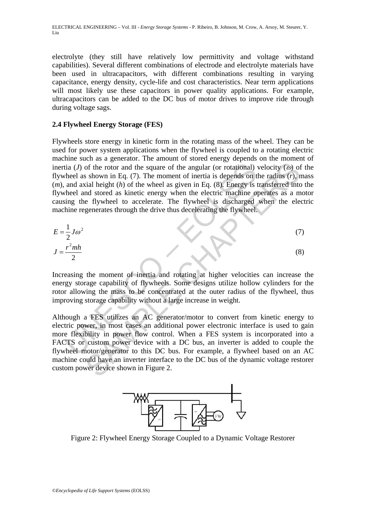electrolyte (they still have relatively low permittivity and voltage withstand capabilities). Several different combinations of electrode and electrolyte materials have been used in ultracapacitors, with different combinations resulting in varying capacitance, energy density, cycle-life and cost characteristics. Near term applications will most likely use these capacitors in power quality applications. For example, ultracapacitors can be added to the DC bus of motor drives to improve ride through during voltage sags.

### **2.4 Flywheel Energy Storage (FES)**

tia (*J*) of the rotor and the square of the angular (or rotational)<br>
hheel as shown in Eq. (7). The moment of inertia is depends on t<br>
and axial height (*h*) of the wheel as given in Eq. (8). Energy is t<br>
hheel and store Flywheels store energy in kinetic form in the rotating mass of the wheel. They can be used for power system applications when the flywheel is coupled to a rotating electric machine such as a generator. The amount of stored energy depends on the moment of inertia (*J*) of the rotor and the square of the angular (or rotational) velocity ( $\omega$ ) of the flywheel as shown in Eq. (7). The moment of inertia is depends on the radius (*r*), mass (*m*), and axial height (*h*) of the wheel as given in Eq. (8). Energy is transferred into the flywheel and stored as kinetic energy when the electric machine operates as a motor causing the flywheel to accelerate. The flywheel is discharged when the electric machine regenerates through the drive thus decelerating the flywheel.

$$
E = \frac{1}{2} J \omega^2
$$
  
\n
$$
J = \frac{r^2 m h}{2}
$$
 (7)

Increasing the moment of inertia and rotating at higher velocities can increase the energy storage capability of flywheels. Some designs utilize hollow cylinders for the rotor allowing the mass to be concentrated at the outer radius of the flywheel, thus improving storage capability without a large increase in weight.

of the rotor and the square of the angular (or rotational) velocity ( $\omega$ ) of shown in Eq. (7). The moment of inertia is depends on the radius ( $r$ ), radial height ( $h$ ) of the wheel as given in Eq. (8). Energy is transfe Although a FES utilizes an AC generator/motor to convert from kinetic energy to electric power, in most cases an additional power electronic interface is used to gain more flexibility in power flow control. When a FES system is incorporated into a FACTS or custom power device with a DC bus, an inverter is added to couple the flywheel motor/generator to this DC bus. For example, a flywheel based on an AC machine could have an inverter interface to the DC bus of the dynamic voltage restorer custom power device shown in Figure 2.



Figure 2: Flywheel Energy Storage Coupled to a Dynamic Voltage Restorer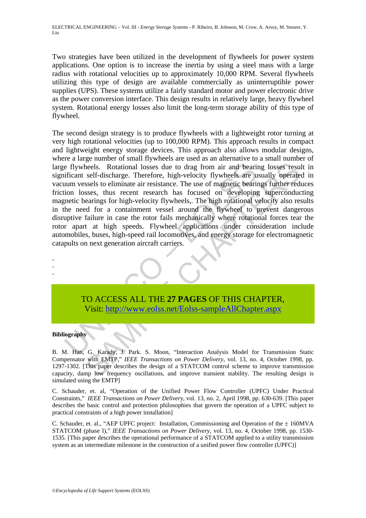Two strategies have been utilized in the development of flywheels for power system applications. One option is to increase the inertia by using a steel mass with a large radius with rotational velocities up to approximately 10,000 RPM. Several flywheels utilizing this type of design are available commercially as uninterruptible power supplies (UPS). These systems utilize a fairly standard motor and power electronic drive as the power conversion interface. This design results in relatively large, heavy flywheel system. Rotational energy losses also limit the long-term storage ability of this type of flywheel.

e flywheels. Rotational losses due to drag from air and beariificant self-discharge. Therefore, high-velocity flywheels are universes to eliminate air resistance. The use of magnetic beariion losses, thus recent research h The standard losses due to drag from air and bearing losses resu<br>self-discharge. Therefore, high-velocity flywheels are usually operate<br>sesses to eliminate air resistance. The use of magnetic bearings further red<br>sesses, t The second design strategy is to produce flywheels with a lightweight rotor turning at very high rotational velocities (up to 100,000 RPM). This approach results in compact and lightweight energy storage devices. This approach also allows modular designs, where a large number of small flywheels are used as an alternative to a small number of large flywheels. Rotational losses due to drag from air and bearing losses result in significant self-discharge. Therefore, high-velocity flywheels are usually operated in vacuum vessels to eliminate air resistance. The use of magnetic bearings further reduces friction losses, thus recent research has focused on developing superconducting magnetic bearings for high-velocity flywheels,. The high rotational velocity also results in the need for a containment vessel around the flywheel to prevent dangerous disruptive failure in case the rotor fails mechanically where rotational forces tear the rotor apart at high speeds. Flywheel applications under consideration include automobiles, buses, high-speed rail locomotives, and energy storage for electromagnetic catapults on next generation aircraft carriers.

TO ACCESS ALL THE **27 PAGES** OF THIS CHAPTER, Visit: http://www.eolss.net/Eolss-sampleAllChapter.aspx

#### **Bibliography**

- - -

B. M. Han, G. Karady, J. Park. S. Moon, "Interaction Analysis Model for Transmission Static Compensator with EMTP," *IEEE Transactions on Power Delivery,* vol. 13, no. 4, October 1998, pp. 1297-1302. [This paper describes the design of a STATCOM control scheme to improve transmission capacity, damp low frequency oscillations, and improve transient stability. The resulting design is simulated using the EMTP]

C. Schauder, et. al, "Operation of the Unified Power Flow Controller (UPFC) Under Practical Constraints," *IEEE Transactions on Power Delivery,* vol. 13, no. 2, April 1998, pp. 630-639. [This paper describes the basic control and protection philosophies that govern the operation of a UPFC subject to practical constraints of a high power installation]

C. Schauder, et. al., "AEP UPFC project: Installation, Commissioning and Operation of the ± 160MVA STATCOM (phase I)," *IEEE Transactions on Power Delivery,* vol. 13, no. 4, October 1998, pp. 1530- 1535. [This paper describes the operational performance of a STATCOM applied to a utility transmission system as an intermediate milestone in the construction of a unified power flow controller (UPFC)]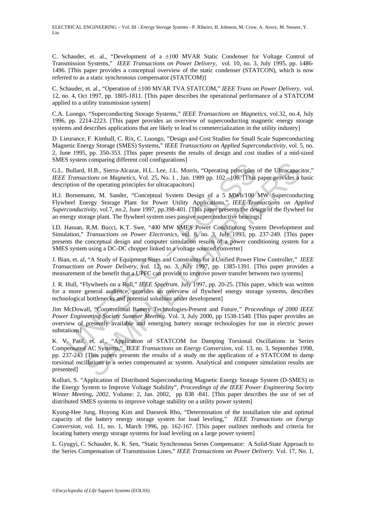C. Schauder, et. al., "Development of a ±100 MVAR Static Condenser for Voltage Control of Transmission Systems," *IEEE Transactions on Power Delivery,* vol. 10, no. 3, July 1995, pp. 1486- 1496. [This paper provides a conceptual overview of the static condenser (STATCON), which is now referred to as a static synchronous compensator (STATCOM)]

C. Schauder, et. al., "Operation of ±100 MVAR TVA STATCOM," *IEEE Trans on Power Delivery,* vol. 12, no. 4, Oct 1997, pp. 1805-1811. [This paper describes the operational performance of a STATCOM applied to a utility transmission system]

C.A. Luongo, "Superconducting Storage Systems," *IEEE Transactions on Magnetics,* vol.32, no.4, July 1996, pp. 2214-2223. [This paper provides an overview of superconducting magnetic energy storage systems and describes applications that are likely to lead to commercialization in the utility industry]

D. Lieurance, F. Kimball, C. Rix, C. Luongo, "Design and Cost Studies for Small Scale Superconducting Magnetic Energy Storage (SMES) Systems," *IEEE Transactions on Applied Superconductivity,* vol. 5, no. 2, June 1995, pp. 350-353. [This paper presents the results of design and cost studies of a mid-sized SMES system comparing different coil configurations]

G.L. Bullard, H.B., Sierra-Alcazar, H.L. Lee, J.L. Morris, "Operating principles of the Ultracapacitor," *IEEE Transactions on Magnetics*, Vol. 25, No. 1 , Jan. 1989 pp. 102 –106. [This paper provides a basic description of the operating principles for ultracapacitors]

Bullard, H.B., Sierra-Alcazar, H.L. Lee, J.L. Morris, "Operating principles<br>Bullard, H.B., Sierra-Alcazar, H.L. Lee, J.L. Morris, "Operating principles<br>Fransactions on Magnetics, Vol. 25, No. 1, Jan. 1989 pp. 102–106. [Th H.J. Bornemann, M. Sander, "Conceptual System Design of a 5 MWh/100 MW Superconducting Flywheel Energy Storage Plant for Power Utility Applications," *IEEE-Transactions on Applied Superconductivity*, vol.7, no.2, June 1997, pp.398-401. [This paper presents the design of the flywheel for an energy storage plant. The flywheel system uses passive superconductive bearings]

I.D. Hassan, R.M. Bucci, K.T. Swe, "400 MW SMES Power Conditioning System Development and Simulation," *Transactions on Power Electronics,* vol. 8, no. 3, July 1993, pp. 237-249. [This paper presents the conceptual design and computer simulation results of a power conditioning system for a SMES system using a DC-DC chopper linked to a voltage sourced converter]

J. Bian, et. al, "A Study of Equipment Sizes and Constraints for a Unified Power Flow Controller," *IEEE Transactions on Power Delivery,* vol. 12, no. 3, July 1997, pp. 1385-1391. [This paper provides a measurement of the benefit that a UPFC can provide to improve power transfer between two systems]

J. R. Hull, "Flywheels on a Roll," *IEEE Spectrum*. July 1997, pp. 20-25. [This paper, which was written for a more general audience, provides an overview of flywheel energy storage systems, describes technological bottlenecks and potential solutions under development]

Jim McDowall, "Conventional Battery Technologies-Present and Future*," Proceedings of 2000 IEEE Power Engineering Society Summer Meeting*. Vol. 3, July 2000, pp 1538-1540. [This paper provides an overview of presently available and emerging battery storage technologies for use in electric power substations]

company and Contention Comparations, the set ally 1997, pp. 20-25. This paper provides and AC Systems: "ICHAPTERS FOR INTEGRAL THIL Lee, J.L. Morris, "Operating principles of the Ultracapactions on *Magnetics*, Vol. 25, N K. V. Patil, et. al., "Application of STATCOM for Damping Torsional Oscillations in Series Compensated AC Systems," *IEEE Transactions on Energy Conversion,* vol. 13, no. 3, September 1998, pp. 237-243 [This papers presents the results of a study on the application of a STATCOM to damp torsional oscillations in a series compensated ac system. Analytical and computer simulation results are presented]

Kolluri, S. "Application of Distributed Superconducting Magnetic Energy Storage System (D-SMES) in the Energy System to Improve Voltage Stability", *Proceedings of the IEEE Power Engineering Society Winter Meeting, 2002*, Volume: 2, Jan. 2002, pp 838 -841. [This paper describes the use of set of distributed SMES systems to improve voltage stability on a utility power system]

Kyung-Hee Jung, Hoyong Kim and Daeseok Rho, "Determination of the installation site and optimal capacity of the battery energy storage system for load leveling," *IEEE Transactions on Energy Conversion,* vol. 11, no. 1, March 1996, pp. 162-167. [This paper outlines methods and criteria for locating battery energy storage systems for load leveling on a large power system]

L. Gyugyi, C. Schauder, K. K. Sen, "Static Synchronous Series Compensator: A Solid-State Approach to the Series Compensation of Transmission Lines," *IEEE Transactions on Power Delivery.* Vol. 17, No. 1,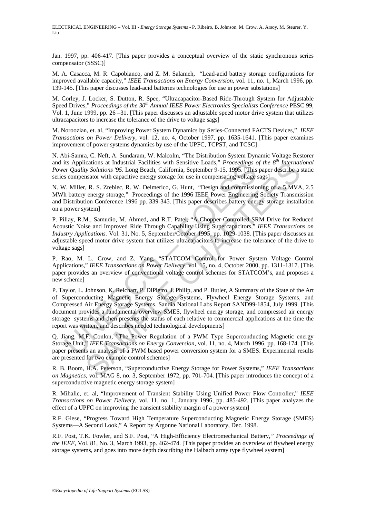Jan. 1997, pp. 406-417. [This paper provides a conceptual overview of the static synchronous series compensator (SSSC)]

M. A. Casacca, M. R. Capobianco, and Z. M. Salameh, "Lead-acid battery storage configurations for improved available capacity," *IEEE Transactions on Energy Conversion,* vol. 11, no. 1, March 1996, pp. 139-145. [This paper discusses lead-acid batteries technologies for use in power substations]

M. Corley, J. Locker, S. Dutton, R. Spee, "Ultracapacitor-Based Ride-Through System for Adjustable Speed Drives," *Proceedings of the 30th Annual IEEE Power Electronics Specialists Conference* PESC 99, Vol. 1, June 1999, pp.  $26 - 31$ . [This paper discusses an adjustable speed motor drive system that utilizes ultracapacitors to increase the tolerance of the drive to voltage sags]

M. Noroozian, et. al, "Improving Power System Dynamics by Series-Connected FACTS Devices," *IEEE Transactions on Power Delivery,* vol. 12, no. 4, October 1997, pp. 1635-1641. [This paper examines improvement of power systems dynamics by use of the UPFC, TCPST, and TCSC]

N. Abi-Samra, C. Neft, A. Sundaram, W. Malcolm, "The Distribution System Dynamic Voltage Restorer and its Applications at Industrial Facilities with Sensitive Loads," *Proceedings of the 8th International Power Quality Solutions '95*. Long Beach, California, September 9-15, 1995. [This paper describe a static series compensator with capacitive energy storage for use in compensating voltage sags]

N. W. Miller, R. S. Zrebiec, R. W. Delmerico, G. Hunt, "Design and commissioning of a 5 MVA, 2.5 MWh battery energy storage," Proceedings of the 1996 IEEE Power Engineering Society Transmission and Distribution Conference 1996 pp. 339-345. [This paper describes battery energy storage installation on a power system]

P. Pillay, R.M., Samudio, M. Ahmed, and R.T. Patel, "A Chopper-Controlled SRM Drive for Reduced Acoustic Noise and Improved Ride Through Capability Using Supercapacitors," *IEEE Transactions on Industry Applications.* Vol. 31, No. 5, September/October 1995, pp. 1029-1038. [This paper discusses an adjustable speed motor drive system that utilizes ultracapacitors to increase the tolerance of the drive to voltage sags]

P. Rao, M. L. Crow, and Z. Yang, "STATCOM Control for Power System Voltage Control Applications," *IEEE Transactions on Power Delivery,* vol. 15, no. 4, October 2000, pp. 1311-1317. [This paper provides an overview of conventional voltage control schemes for STATCOM's, and proposes a new scheme]

Is Applications at Industrial Facilities with Sensitive Loads; *Proceedings* Christoplare in Columity Solutions 95. Long Beach, California, September 9-15, 1995. [This scompensator with capacitive energy storage for use in ications at Industrial Facilities with Sensitive Loads," Proceedings of the <sup>8"</sup> Internations and Solutions 95. Long Beach, California, September 9-15, 1995. [This paper describe a stator with capacitive energy storage for P. Taylor, L. Johnson, K. Reichart, P. DiPietro, J. Philip, and P. Butler, A Summary of the State of the Art of Superconducting Magnetic Energy Storage Systems, Flywheel Energy Storage Systems, and Compressed Air Energy Storage Systems. Sandia National Labs Report SAND99-1854, July 1999. [This document provides a fundamental overview SMES, flywheel energy storage, and compressed air energy storage systems and then presents the status of each relative to commercial applications at the time the report was written, and describes needed technological developments]

Q. Jiang, M.F. Conlon, "The Power Regulation of a PWM Type Superconducting Magnetic energy Storage Unit," *IEEE Transactions on Energy Conversion,* vol. 11, no. 4, March 1996, pp. 168-174. [This paper presents an analysis of a PWM based power conversion system for a SMES. Experimental results are presented for two example control schemes]

R. B. Boom, H.A. Peterson, "Superconductive Energy Storage for Power Systems," *IEEE Transactions on Magnetics,* vol. MAG 8, no. 3, September 1972, pp. 701-704. [This paper introduces the concept of a superconductive magnetic energy storage system]

R. Mihalic, et. al, "Improvement of Transient Stability Using Unified Power Flow Controller," *IEEE Transactions on Power Delivery,* vol. 11, no. 1, January 1996, pp. 485-492. [This paper analyzes the effect of a UPFC on improving the transient stability margin of a power system]

R.F. Giese, "Progress Toward High Temperature Superconducting Magnetic Energy Storage (SMES) Systems—A Second Look," A Report by Argonne National Laboratory, Dec. 1998.

R.F. Post, T.K. Fowler, and S.F. Post, "A High-Efficiency Electromechanical Battery*," Proceedings of the IEEE*, Vol. 81, No. 3, March 1993, pp. 462-474. [This paper provides an overview of flywheel energy storage systems, and goes into more depth describing the Halbach array type flywheel system]